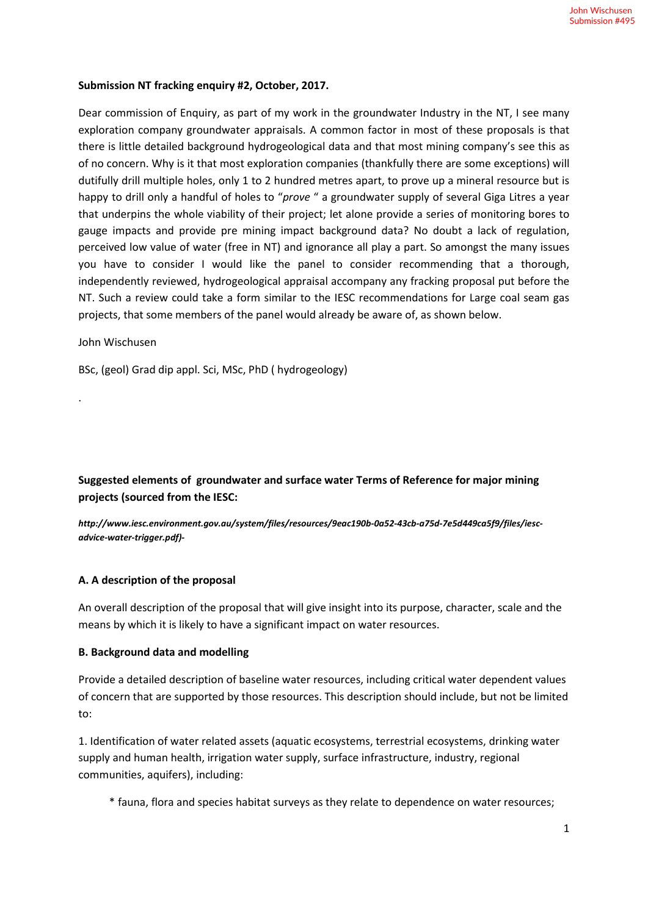#### **Submission NT fracking enquiry #2, October, 2017.**

Dear commission of Enquiry, as part of my work in the groundwater Industry in the NT, I see many exploration company groundwater appraisals. A common factor in most of these proposals is that there is little detailed background hydrogeological data and that most mining company's see this as of no concern. Why is it that most exploration companies (thankfully there are some exceptions) will dutifully drill multiple holes, only 1 to 2 hundred metres apart, to prove up a mineral resource but is happy to drill only a handful of holes to "*prove* " a groundwater supply of several Giga Litres a year that underpins the whole viability of their project; let alone provide a series of monitoring bores to gauge impacts and provide pre mining impact background data? No doubt a lack of regulation, perceived low value of water (free in NT) and ignorance all play a part. So amongst the many issues you have to consider I would like the panel to consider recommending that a thorough, independently reviewed, hydrogeological appraisal accompany any fracking proposal put before the NT. Such a review could take a form similar to the IESC recommendations for Large coal seam gas projects, that some members of the panel would already be aware of, as shown below.

#### John Wischusen

.

BSc, (geol) Grad dip appl. Sci, MSc, PhD ( hydrogeology)

**Suggested elements of groundwater and surface water Terms of Reference for major mining projects (sourced from the IESC:**

*http://www.iesc.environment.gov.au/system/files/resources/9eac190b-0a52-43cb-a75d-7e5d449ca5f9/files/iescadvice-water-trigger.pdf)-* 

#### **A. A description of the proposal**

An overall description of the proposal that will give insight into its purpose, character, scale and the means by which it is likely to have a significant impact on water resources.

#### **B. Background data and modelling**

Provide a detailed description of baseline water resources, including critical water dependent values of concern that are supported by those resources. This description should include, but not be limited to:

1. Identification of water related assets (aquatic ecosystems, terrestrial ecosystems, drinking water supply and human health, irrigation water supply, surface infrastructure, industry, regional communities, aquifers), including:

\* fauna, flora and species habitat surveys as they relate to dependence on water resources;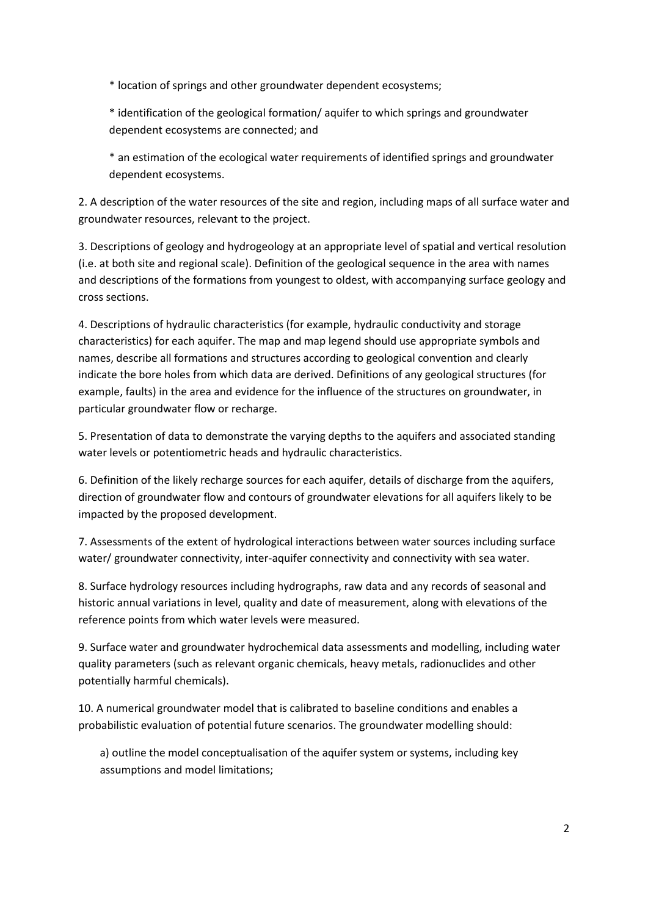\* location of springs and other groundwater dependent ecosystems;

\* identification of the geological formation/ aquifer to which springs and groundwater dependent ecosystems are connected; and

\* an estimation of the ecological water requirements of identified springs and groundwater dependent ecosystems.

2. A description of the water resources of the site and region, including maps of all surface water and groundwater resources, relevant to the project.

3. Descriptions of geology and hydrogeology at an appropriate level of spatial and vertical resolution (i.e. at both site and regional scale). Definition of the geological sequence in the area with names and descriptions of the formations from youngest to oldest, with accompanying surface geology and cross sections.

4. Descriptions of hydraulic characteristics (for example, hydraulic conductivity and storage characteristics) for each aquifer. The map and map legend should use appropriate symbols and names, describe all formations and structures according to geological convention and clearly indicate the bore holes from which data are derived. Definitions of any geological structures (for example, faults) in the area and evidence for the influence of the structures on groundwater, in particular groundwater flow or recharge.

5. Presentation of data to demonstrate the varying depths to the aquifers and associated standing water levels or potentiometric heads and hydraulic characteristics.

6. Definition of the likely recharge sources for each aquifer, details of discharge from the aquifers, direction of groundwater flow and contours of groundwater elevations for all aquifers likely to be impacted by the proposed development.

7. Assessments of the extent of hydrological interactions between water sources including surface water/ groundwater connectivity, inter-aquifer connectivity and connectivity with sea water.

8. Surface hydrology resources including hydrographs, raw data and any records of seasonal and historic annual variations in level, quality and date of measurement, along with elevations of the reference points from which water levels were measured.

9. Surface water and groundwater hydrochemical data assessments and modelling, including water quality parameters (such as relevant organic chemicals, heavy metals, radionuclides and other potentially harmful chemicals).

10. A numerical groundwater model that is calibrated to baseline conditions and enables a probabilistic evaluation of potential future scenarios. The groundwater modelling should:

a) outline the model conceptualisation of the aquifer system or systems, including key assumptions and model limitations;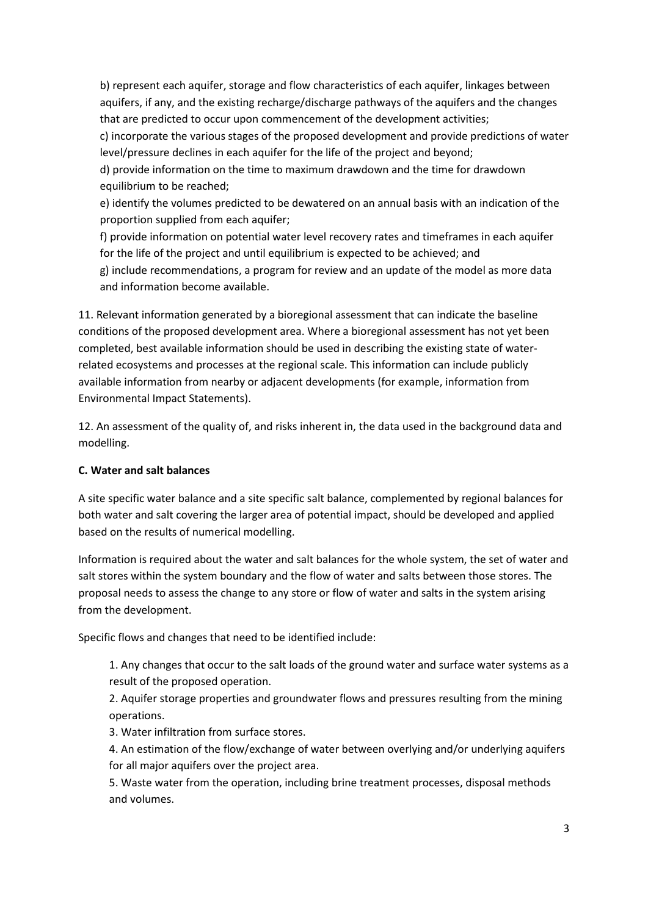b) represent each aquifer, storage and flow characteristics of each aquifer, linkages between aquifers, if any, and the existing recharge/discharge pathways of the aquifers and the changes that are predicted to occur upon commencement of the development activities;

c) incorporate the various stages of the proposed development and provide predictions of water level/pressure declines in each aquifer for the life of the project and beyond;

d) provide information on the time to maximum drawdown and the time for drawdown equilibrium to be reached:

e) identify the volumes predicted to be dewatered on an annual basis with an indication of the proportion supplied from each aquifer;

f) provide information on potential water level recovery rates and timeframes in each aquifer for the life of the project and until equilibrium is expected to be achieved; and g) include recommendations, a program for review and an update of the model as more data and information become available.

11. Relevant information generated by a bioregional assessment that can indicate the baseline conditions of the proposed development area. Where a bioregional assessment has not yet been completed, best available information should be used in describing the existing state of waterrelated ecosystems and processes at the regional scale. This information can include publicly available information from nearby or adjacent developments (for example, information from Environmental Impact Statements).

12. An assessment of the quality of, and risks inherent in, the data used in the background data and modelling.

# **C. Water and salt balances**

A site specific water balance and a site specific salt balance, complemented by regional balances for both water and salt covering the larger area of potential impact, should be developed and applied based on the results of numerical modelling.

Information is required about the water and salt balances for the whole system, the set of water and salt stores within the system boundary and the flow of water and salts between those stores. The proposal needs to assess the change to any store or flow of water and salts in the system arising from the development.

Specific flows and changes that need to be identified include:

1. Any changes that occur to the salt loads of the ground water and surface water systems as a result of the proposed operation.

2. Aquifer storage properties and groundwater flows and pressures resulting from the mining operations.

3. Water infiltration from surface stores.

4. An estimation of the flow/exchange of water between overlying and/or underlying aquifers for all major aquifers over the project area.

5. Waste water from the operation, including brine treatment processes, disposal methods and volumes.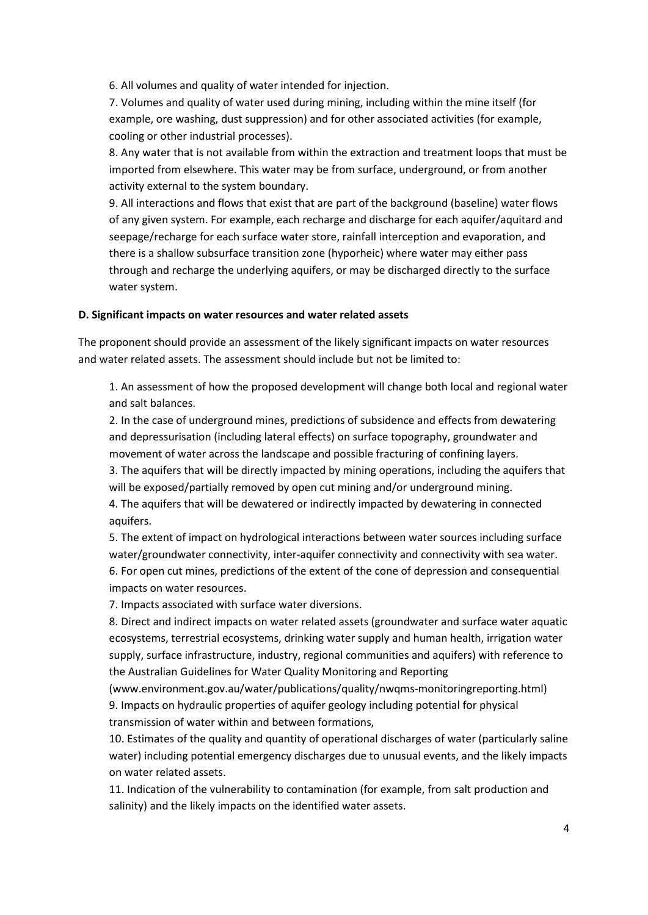6. All volumes and quality of water intended for injection.

7. Volumes and quality of water used during mining, including within the mine itself (for example, ore washing, dust suppression) and for other associated activities (for example, cooling or other industrial processes).

8. Any water that is not available from within the extraction and treatment loops that must be imported from elsewhere. This water may be from surface, underground, or from another activity external to the system boundary.

9. All interactions and flows that exist that are part of the background (baseline) water flows of any given system. For example, each recharge and discharge for each aquifer/aquitard and seepage/recharge for each surface water store, rainfall interception and evaporation, and there is a shallow subsurface transition zone (hyporheic) where water may either pass through and recharge the underlying aquifers, or may be discharged directly to the surface water system.

### **D. Significant impacts on water resources and water related assets**

The proponent should provide an assessment of the likely significant impacts on water resources and water related assets. The assessment should include but not be limited to:

1. An assessment of how the proposed development will change both local and regional water and salt balances.

2. In the case of underground mines, predictions of subsidence and effects from dewatering and depressurisation (including lateral effects) on surface topography, groundwater and movement of water across the landscape and possible fracturing of confining layers.

3. The aquifers that will be directly impacted by mining operations, including the aquifers that will be exposed/partially removed by open cut mining and/or underground mining.

4. The aquifers that will be dewatered or indirectly impacted by dewatering in connected aquifers.

5. The extent of impact on hydrological interactions between water sources including surface water/groundwater connectivity, inter-aquifer connectivity and connectivity with sea water. 6. For open cut mines, predictions of the extent of the cone of depression and consequential impacts on water resources.

7. Impacts associated with surface water diversions.

8. Direct and indirect impacts on water related assets (groundwater and surface water aquatic ecosystems, terrestrial ecosystems, drinking water supply and human health, irrigation water supply, surface infrastructure, industry, regional communities and aquifers) with reference to the Australian Guidelines for Water Quality Monitoring and Reporting

(www.environment.gov.au/water/publications/quality/nwqms‐monitoringreporting.html) 9. Impacts on hydraulic properties of aquifer geology including potential for physical transmission of water within and between formations,

10. Estimates of the quality and quantity of operational discharges of water (particularly saline water) including potential emergency discharges due to unusual events, and the likely impacts on water related assets.

11. Indication of the vulnerability to contamination (for example, from salt production and salinity) and the likely impacts on the identified water assets.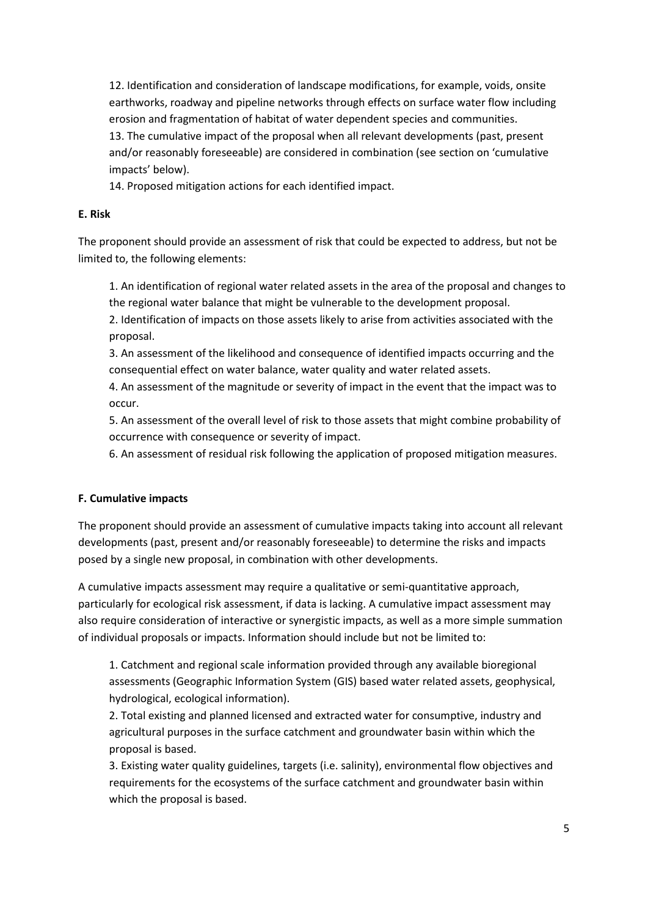12. Identification and consideration of landscape modifications, for example, voids, onsite earthworks, roadway and pipeline networks through effects on surface water flow including erosion and fragmentation of habitat of water dependent species and communities.

13. The cumulative impact of the proposal when all relevant developments (past, present and/or reasonably foreseeable) are considered in combination (see section on 'cumulative impacts' below).

14. Proposed mitigation actions for each identified impact.

# **E. Risk**

The proponent should provide an assessment of risk that could be expected to address, but not be limited to, the following elements:

1. An identification of regional water related assets in the area of the proposal and changes to the regional water balance that might be vulnerable to the development proposal.

2. Identification of impacts on those assets likely to arise from activities associated with the proposal.

3. An assessment of the likelihood and consequence of identified impacts occurring and the consequential effect on water balance, water quality and water related assets.

4. An assessment of the magnitude or severity of impact in the event that the impact was to occur.

5. An assessment of the overall level of risk to those assets that might combine probability of occurrence with consequence or severity of impact.

6. An assessment of residual risk following the application of proposed mitigation measures.

# **F. Cumulative impacts**

The proponent should provide an assessment of cumulative impacts taking into account all relevant developments (past, present and/or reasonably foreseeable) to determine the risks and impacts posed by a single new proposal, in combination with other developments.

A cumulative impacts assessment may require a qualitative or semi‐quantitative approach, particularly for ecological risk assessment, if data is lacking. A cumulative impact assessment may also require consideration of interactive or synergistic impacts, as well as a more simple summation of individual proposals or impacts. Information should include but not be limited to:

1. Catchment and regional scale information provided through any available bioregional assessments (Geographic Information System (GIS) based water related assets, geophysical, hydrological, ecological information).

2. Total existing and planned licensed and extracted water for consumptive, industry and agricultural purposes in the surface catchment and groundwater basin within which the proposal is based.

3. Existing water quality guidelines, targets (i.e. salinity), environmental flow objectives and requirements for the ecosystems of the surface catchment and groundwater basin within which the proposal is based.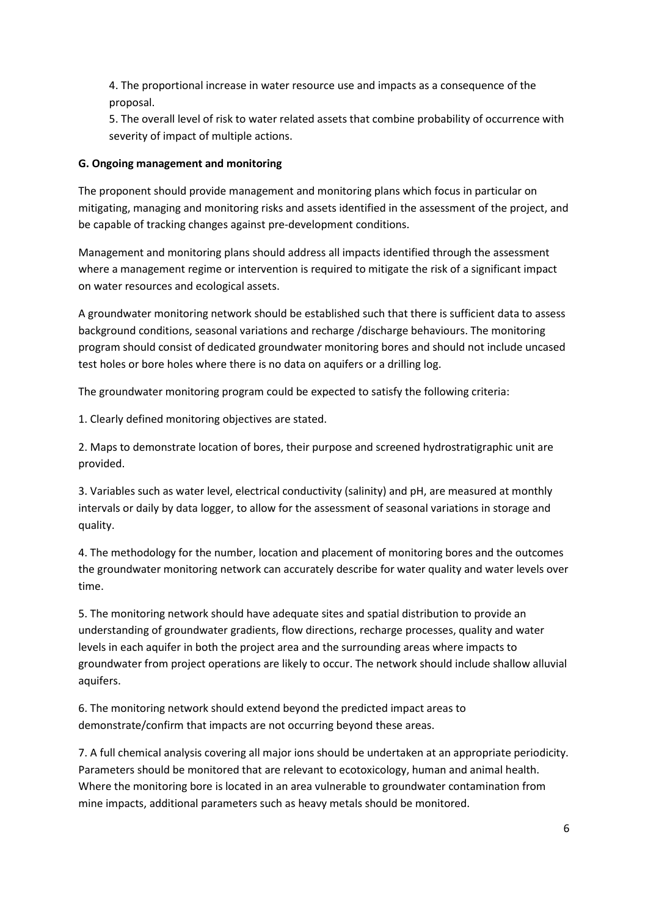4. The proportional increase in water resource use and impacts as a consequence of the proposal.

5. The overall level of risk to water related assets that combine probability of occurrence with severity of impact of multiple actions.

# **G. Ongoing management and monitoring**

The proponent should provide management and monitoring plans which focus in particular on mitigating, managing and monitoring risks and assets identified in the assessment of the project, and be capable of tracking changes against pre‐development conditions.

Management and monitoring plans should address all impacts identified through the assessment where a management regime or intervention is required to mitigate the risk of a significant impact on water resources and ecological assets.

A groundwater monitoring network should be established such that there is sufficient data to assess background conditions, seasonal variations and recharge /discharge behaviours. The monitoring program should consist of dedicated groundwater monitoring bores and should not include uncased test holes or bore holes where there is no data on aquifers or a drilling log.

The groundwater monitoring program could be expected to satisfy the following criteria:

1. Clearly defined monitoring objectives are stated.

2. Maps to demonstrate location of bores, their purpose and screened hydrostratigraphic unit are provided.

3. Variables such as water level, electrical conductivity (salinity) and pH, are measured at monthly intervals or daily by data logger, to allow for the assessment of seasonal variations in storage and quality.

4. The methodology for the number, location and placement of monitoring bores and the outcomes the groundwater monitoring network can accurately describe for water quality and water levels over time.

5. The monitoring network should have adequate sites and spatial distribution to provide an understanding of groundwater gradients, flow directions, recharge processes, quality and water levels in each aquifer in both the project area and the surrounding areas where impacts to groundwater from project operations are likely to occur. The network should include shallow alluvial aquifers.

6. The monitoring network should extend beyond the predicted impact areas to demonstrate/confirm that impacts are not occurring beyond these areas.

7. A full chemical analysis covering all major ions should be undertaken at an appropriate periodicity. Parameters should be monitored that are relevant to ecotoxicology, human and animal health. Where the monitoring bore is located in an area vulnerable to groundwater contamination from mine impacts, additional parameters such as heavy metals should be monitored.